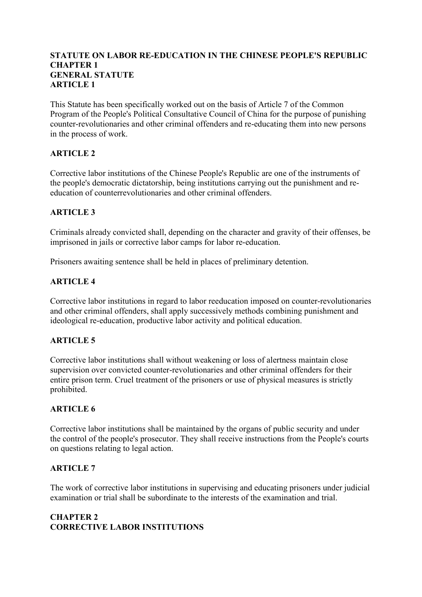## **STATUTE ON LABOR RE-EDUCATION IN THE CHINESE PEOPLE'S REPUBLIC CHAPTER 1 GENERAL STATUTE ARTICLE 1**

This Statute has been specifically worked out on the basis of Article 7 of the Common Program of the People's Political Consultative Council of China for the purpose of punishing counter-revolutionaries and other criminal offenders and re-educating them into new persons in the process of work.

# **ARTICLE 2**

Corrective labor institutions of the Chinese People's Republic are one of the instruments of the people's democratic dictatorship, being institutions carrying out the punishment and reeducation of counterrevolutionaries and other criminal offenders.

## **ARTICLE 3**

Criminals already convicted shall, depending on the character and gravity of their offenses, be imprisoned in jails or corrective labor camps for labor re-education.

Prisoners awaiting sentence shall be held in places of preliminary detention.

# **ARTICLE 4**

Corrective labor institutions in regard to labor reeducation imposed on counter-revolutionaries and other criminal offenders, shall apply successively methods combining punishment and ideological re-education, productive labor activity and political education.

## **ARTICLE 5**

Corrective labor institutions shall without weakening or loss of alertness maintain close supervision over convicted counter-revolutionaries and other criminal offenders for their entire prison term. Cruel treatment of the prisoners or use of physical measures is strictly prohibited.

## **ARTICLE 6**

Corrective labor institutions shall be maintained by the organs of public security and under the control of the people's prosecutor. They shall receive instructions from the People's courts on questions relating to legal action.

## **ARTICLE 7**

The work of corrective labor institutions in supervising and educating prisoners under judicial examination or trial shall be subordinate to the interests of the examination and trial.

# **CHAPTER 2 CORRECTIVE LABOR INSTITUTIONS**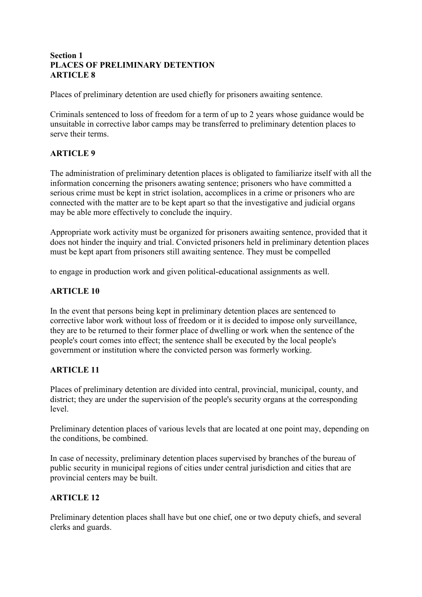## **Section 1 PLACES OF PRELIMINARY DETENTION ARTICLE 8**

Places of preliminary detention are used chiefly for prisoners awaiting sentence.

Criminals sentenced to loss of freedom for a term of up to 2 years whose guidance would be unsuitable in corrective labor camps may be transferred to preliminary detention places to serve their terms.

# **ARTICLE 9**

The administration of preliminary detention places is obligated to familiarize itself with all the information concerning the prisoners awating sentence; prisoners who have committed a serious crime must be kept in strict isolation, accomplices in a crime or prisoners who are connected with the matter are to be kept apart so that the investigative and judicial organs may be able more effectively to conclude the inquiry.

Appropriate work activity must be organized for prisoners awaiting sentence, provided that it does not hinder the inquiry and trial. Convicted prisoners held in preliminary detention places must be kept apart from prisoners still awaiting sentence. They must be compelled

to engage in production work and given political-educational assignments as well.

## **ARTICLE 10**

In the event that persons being kept in preliminary detention places are sentenced to corrective labor work without loss of freedom or it is decided to impose only surveillance, they are to be returned to their former place of dwelling or work when the sentence of the people's court comes into effect; the sentence shall be executed by the local people's government or institution where the convicted person was formerly working.

## **ARTICLE 11**

Places of preliminary detention are divided into central, provincial, municipal, county, and district; they are under the supervision of the people's security organs at the corresponding level.

Preliminary detention places of various levels that are located at one point may, depending on the conditions, be combined.

In case of necessity, preliminary detention places supervised by branches of the bureau of public security in municipal regions of cities under central jurisdiction and cities that are provincial centers may be built.

## **ARTICLE 12**

Preliminary detention places shall have but one chief, one or two deputy chiefs, and several clerks and guards.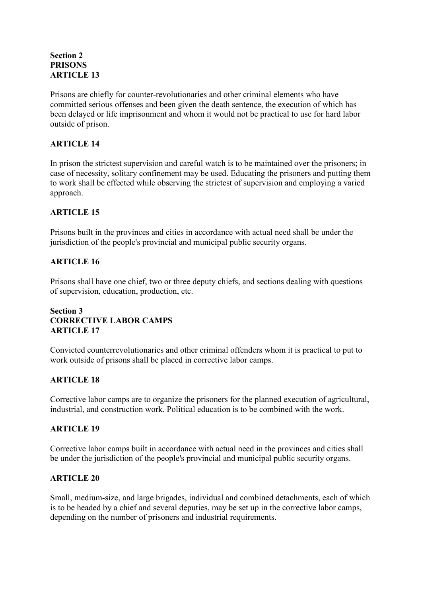# **Section 2 PRISONS ARTICLE 13**

Prisons are chiefly for counter-revolutionaries and other criminal elements who have committed serious offenses and been given the death sentence, the execution of which has been delayed or life imprisonment and whom it would not be practical to use for hard labor outside of prison.

# **ARTICLE 14**

In prison the strictest supervision and careful watch is to be maintained over the prisoners; in case of necessity, solitary confinement may be used. Educating the prisoners and putting them to work shall be effected while observing the strictest of supervision and employing a varied approach.

# **ARTICLE 15**

Prisons built in the provinces and cities in accordance with actual need shall be under the jurisdiction of the people's provincial and municipal public security organs.

# **ARTICLE 16**

Prisons shall have one chief, two or three deputy chiefs, and sections dealing with questions of supervision, education, production, etc.

# **Section 3 CORRECTIVE LABOR CAMPS ARTICLE 17**

Convicted counterrevolutionaries and other criminal offenders whom it is practical to put to work outside of prisons shall be placed in corrective labor camps.

# **ARTICLE 18**

Corrective labor camps are to organize the prisoners for the planned execution of agricultural, industrial, and construction work. Political education is to be combined with the work.

## **ARTICLE 19**

Corrective labor camps built in accordance with actual need in the provinces and cities shall be under the jurisdiction of the people's provincial and municipal public security organs.

## **ARTICLE 20**

Small, medium-size, and large brigades, individual and combined detachments, each of which is to be headed by a chief and several deputies, may be set up in the corrective labor camps, depending on the number of prisoners and industrial requirements.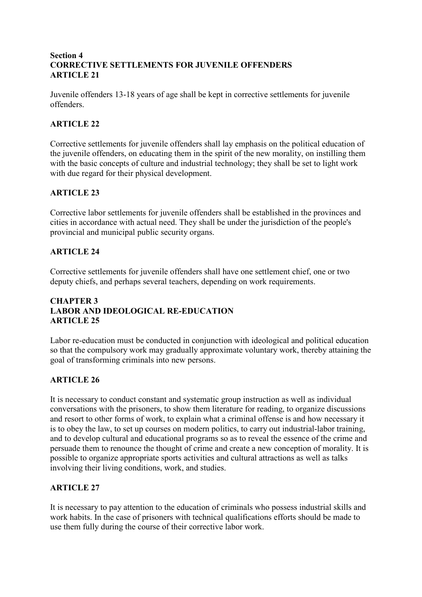## **Section 4 CORRECTIVE SETTLEMENTS FOR JUVENILE OFFENDERS ARTICLE 21**

Juvenile offenders 13-18 years of age shall be kept in corrective settlements for juvenile offenders.

# **ARTICLE 22**

Corrective settlements for juvenile offenders shall lay emphasis on the political education of the juvenile offenders, on educating them in the spirit of the new morality, on instilling them with the basic concepts of culture and industrial technology; they shall be set to light work with due regard for their physical development.

# **ARTICLE 23**

Corrective labor settlements for juvenile offenders shall be established in the provinces and cities in accordance with actual need. They shall be under the jurisdiction of the people's provincial and municipal public security organs.

## **ARTICLE 24**

Corrective settlements for juvenile offenders shall have one settlement chief, one or two deputy chiefs, and perhaps several teachers, depending on work requirements.

# **CHAPTER 3 LABOR AND IDEOLOGICAL RE-EDUCATION ARTICLE 25**

Labor re-education must be conducted in conjunction with ideological and political education so that the compulsory work may gradually approximate voluntary work, thereby attaining the goal of transforming criminals into new persons.

# **ARTICLE 26**

It is necessary to conduct constant and systematic group instruction as well as individual conversations with the prisoners, to show them literature for reading, to organize discussions and resort to other forms of work, to explain what a criminal offense is and how necessary it is to obey the law, to set up courses on modern politics, to carry out industrial-labor training, and to develop cultural and educational programs so as to reveal the essence of the crime and persuade them to renounce the thought of crime and create a new conception of morality. It is possible to organize appropriate sports activities and cultural attractions as well as talks involving their living conditions, work, and studies.

## **ARTICLE 27**

It is necessary to pay attention to the education of criminals who possess industrial skills and work habits. In the case of prisoners with technical qualifications efforts should be made to use them fully during the course of their corrective labor work.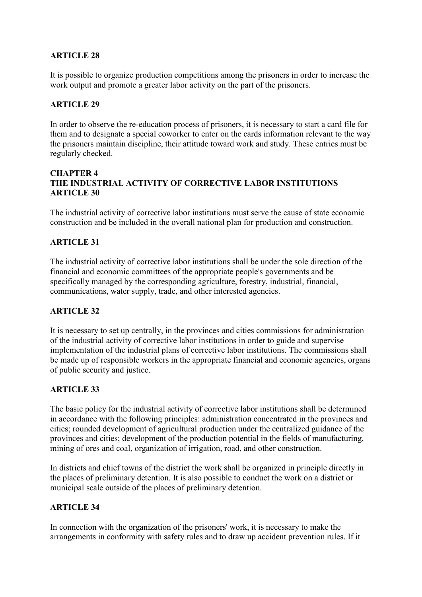# **ARTICLE 28**

It is possible to organize production competitions among the prisoners in order to increase the work output and promote a greater labor activity on the part of the prisoners.

#### **ARTICLE 29**

In order to observe the re-education process of prisoners, it is necessary to start a card file for them and to designate a special coworker to enter on the cards information relevant to the way the prisoners maintain discipline, their attitude toward work and study. These entries must be regularly checked.

#### **CHAPTER 4 THE INDUSTRIAL ACTIVITY OF CORRECTIVE LABOR INSTITUTIONS ARTICLE 30**

The industrial activity of corrective labor institutions must serve the cause of state economic construction and be included in the overall national plan for production and construction.

#### **ARTICLE 31**

The industrial activity of corrective labor institutions shall be under the sole direction of the financial and economic committees of the appropriate people's governments and be specifically managed by the corresponding agriculture, forestry, industrial, financial, communications, water supply, trade, and other interested agencies.

#### **ARTICLE 32**

It is necessary to set up centrally, in the provinces and cities commissions for administration of the industrial activity of corrective labor institutions in order to guide and supervise implementation of the industrial plans of corrective labor institutions. The commissions shall be made up of responsible workers in the appropriate financial and economic agencies, organs of public security and justice.

## **ARTICLE 33**

The basic policy for the industrial activity of corrective labor institutions shall be determined in accordance with the following principles: administration concentrated in the provinces and cities; rounded development of agricultural production under the centralized guidance of the provinces and cities; development of the production potential in the fields of manufacturing, mining of ores and coal, organization of irrigation, road, and other construction.

In districts and chief towns of the district the work shall be organized in principle directly in the places of preliminary detention. It is also possible to conduct the work on a district or municipal scale outside of the places of preliminary detention.

#### **ARTICLE 34**

In connection with the organization of the prisoners' work, it is necessary to make the arrangements in conformity with safety rules and to draw up accident prevention rules. If it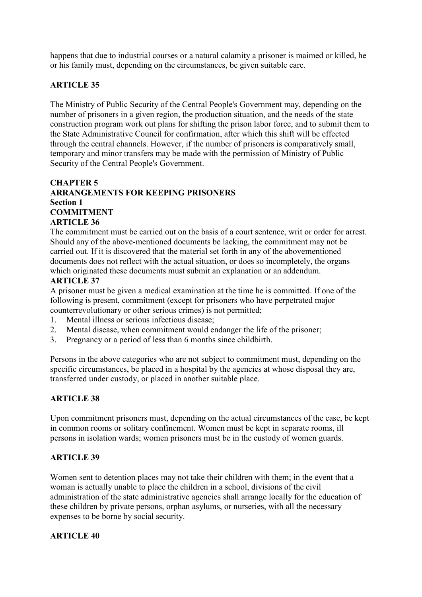happens that due to industrial courses or a natural calamity a prisoner is maimed or killed, he or his family must, depending on the circumstances, be given suitable care.

# **ARTICLE 35**

The Ministry of Public Security of the Central People's Government may, depending on the number of prisoners in a given region, the production situation, and the needs of the state construction program work out plans for shifting the prison labor force, and to submit them to the State Administrative Council for confirmation, after which this shift will be effected through the central channels. However, if the number of prisoners is comparatively small, temporary and minor transfers may be made with the permission of Ministry of Public Security of the Central People's Government.

#### **CHAPTER 5 ARRANGEMENTS FOR KEEPING PRISONERS Section 1 COMMITMENT ARTICLE 36**

The commitment must be carried out on the basis of a court sentence, writ or order for arrest. Should any of the above-mentioned documents be lacking, the commitment may not be carried out. If it is discovered that the material set forth in any of the abovementioned documents does not reflect with the actual situation, or does so incompletely, the organs which originated these documents must submit an explanation or an addendum.

#### **ARTICLE 37**

A prisoner must be given a medical examination at the time he is committed. If one of the following is present, commitment (except for prisoners who have perpetrated major counterrevolutionary or other serious crimes) is not permitted;

- 1. Mental illness or serious infectious disease;
- 2. Mental disease, when commitment would endanger the life of the prisoner;
- 3. Pregnancy or a period of less than 6 months since childbirth.

Persons in the above categories who are not subject to commitment must, depending on the specific circumstances, be placed in a hospital by the agencies at whose disposal they are, transferred under custody, or placed in another suitable place.

## **ARTICLE 38**

Upon commitment prisoners must, depending on the actual circumstances of the case, be kept in common rooms or solitary confinement. Women must be kept in separate rooms, ill persons in isolation wards; women prisoners must be in the custody of women guards.

#### **ARTICLE 39**

Women sent to detention places may not take their children with them; in the event that a woman is actually unable to place the children in a school, divisions of the civil administration of the state administrative agencies shall arrange locally for the education of these children by private persons, orphan asylums, or nurseries, with all the necessary expenses to be borne by social security.

#### **ARTICLE 40**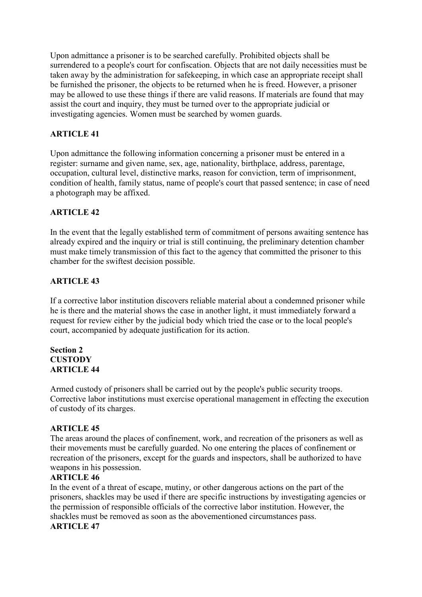Upon admittance a prisoner is to be searched carefully. Prohibited objects shall be surrendered to a people's court for confiscation. Objects that are not daily necessities must be taken away by the administration for safekeeping, in which case an appropriate receipt shall be furnished the prisoner, the objects to be returned when he is freed. However, a prisoner may be allowed to use these things if there are valid reasons. If materials are found that may assist the court and inquiry, they must be turned over to the appropriate judicial or investigating agencies. Women must be searched by women guards.

# **ARTICLE 41**

Upon admittance the following information concerning a prisoner must be entered in a register: surname and given name, sex, age, nationality, birthplace, address, parentage, occupation, cultural level, distinctive marks, reason for conviction, term of imprisonment, condition of health, family status, name of people's court that passed sentence; in case of need a photograph may be affixed.

## **ARTICLE 42**

In the event that the legally established term of commitment of persons awaiting sentence has already expired and the inquiry or trial is still continuing, the preliminary detention chamber must make timely transmission of this fact to the agency that committed the prisoner to this chamber for the swiftest decision possible.

## **ARTICLE 43**

If a corrective labor institution discovers reliable material about a condemned prisoner while he is there and the material shows the case in another light, it must immediately forward a request for review either by the judicial body which tried the case or to the local people's court, accompanied by adequate justification for its action.

#### **Section 2 CUSTODY ARTICLE 44**

Armed custody of prisoners shall be carried out by the people's public security troops. Corrective labor institutions must exercise operational management in effecting the execution of custody of its charges.

## **ARTICLE 45**

The areas around the places of confinement, work, and recreation of the prisoners as well as their movements must be carefully guarded. No one entering the places of confinement or recreation of the prisoners, except for the guards and inspectors, shall be authorized to have weapons in his possession.

## **ARTICLE 46**

In the event of a threat of escape, mutiny, or other dangerous actions on the part of the prisoners, shackles may be used if there are specific instructions by investigating agencies or the permission of responsible officials of the corrective labor institution. However, the shackles must be removed as soon as the abovementioned circumstances pass. **ARTICLE 47**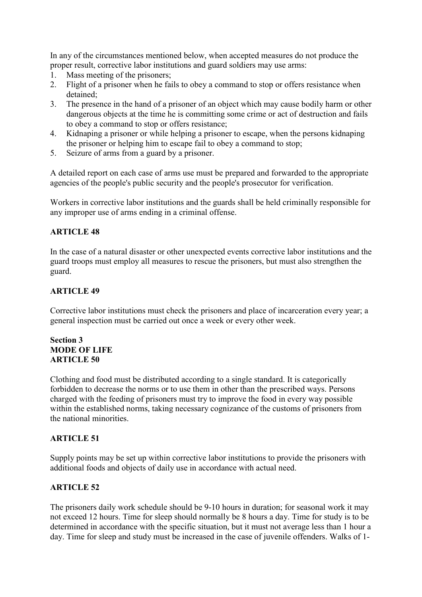In any of the circumstances mentioned below, when accepted measures do not produce the proper result, corrective labor institutions and guard soldiers may use arms:

- 1. Mass meeting of the prisoners;
- 2. Flight of a prisoner when he fails to obey a command to stop or offers resistance when detained;
- 3. The presence in the hand of a prisoner of an object which may cause bodily harm or other dangerous objects at the time he is committing some crime or act of destruction and fails to obey a command to stop or offers resistance;
- 4. Kidnaping a prisoner or while helping a prisoner to escape, when the persons kidnaping the prisoner or helping him to escape fail to obey a command to stop;
- 5. Seizure of arms from a guard by a prisoner.

A detailed report on each case of arms use must be prepared and forwarded to the appropriate agencies of the people's public security and the people's prosecutor for verification.

Workers in corrective labor institutions and the guards shall be held criminally responsible for any improper use of arms ending in a criminal offense.

## **ARTICLE 48**

In the case of a natural disaster or other unexpected events corrective labor institutions and the guard troops must employ all measures to rescue the prisoners, but must also strengthen the guard.

#### **ARTICLE 49**

Corrective labor institutions must check the prisoners and place of incarceration every year; a general inspection must be carried out once a week or every other week.

## **Section 3 MODE OF LIFE ARTICLE 50**

Clothing and food must be distributed according to a single standard. It is categorically forbidden to decrease the norms or to use them in other than the prescribed ways. Persons charged with the feeding of prisoners must try to improve the food in every way possible within the established norms, taking necessary cognizance of the customs of prisoners from the national minorities.

#### **ARTICLE 51**

Supply points may be set up within corrective labor institutions to provide the prisoners with additional foods and objects of daily use in accordance with actual need.

## **ARTICLE 52**

The prisoners daily work schedule should be 9-10 hours in duration; for seasonal work it may not exceed 12 hours. Time for sleep should normally be 8 hours a day. Time for study is to be determined in accordance with the specific situation, but it must not average less than 1 hour a day. Time for sleep and study must be increased in the case of juvenile offenders. Walks of 1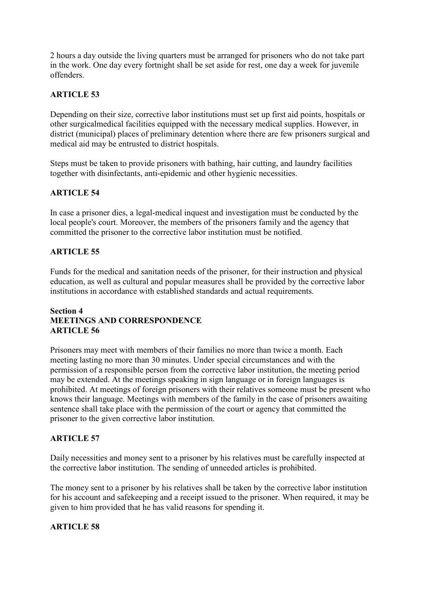2 hours a day outside the living quarters must be arranged for prisoners who do not take part in the work. One day every fortnight shall be set aside for rest, one day a week for juvenile offenders.

# **ARTICLE 53**

Depending on their size, corrective labor institutions must set up first aid points, hospitals or other surgicalmedical facilities equipped with the necessary medical supplies. However, in district (municipal) places of preliminary detention where there are few prisoners surgical and medical aid may be entrusted to district hospitals.

Steps must be taken to provide prisoners with bathing, hair cutting, and laundry facilities together with disinfectants, anti-epidemic and other hygienic necessities.

## **ARTICLE 54**

In case a prisoner dies, a legal-medical inquest and investigation must be conducted by the local people's court. Moreover, the members of the prisoners family and the agency that committed the prisoner to the corrective labor institution must be notified.

#### **ARTICLE 55**

Funds for the medical and sanitation needs of the prisoner, for their instruction and physical education, as well as cultural and popular measures shall be provided by the corrective labor institutions in accordance with established standards and actual requirements.

## **Section 4 MEETINGS AND CORRESPONDENCE ARTICLE 56**

Prisoners may meet with members of their families no more than twice a month. Each meeting lasting no more than 30 minutes. Under special circumstances and with the permission of a responsible person from the corrective labor institution, the meeting period may be extended. At the meetings speaking in sign language or in foreign languages is prohibited. At meetings of foreign prisoners with their relatives someone must be present who knows their language. Meetings with members of the family in the case of prisoners awaiting sentence shall take place with the permission of the court or agency that committed the prisoner to the given corrective labor institution.

#### **ARTICLE 57**

Daily necessities and money sent to a prisoner by his relatives must be carefully inspected at the corrective labor institution. The sending of unneeded articles is prohibited.

The money sent to a prisoner by his relatives shall be taken by the corrective labor institution for his account and safekeeping and a receipt issued to the prisoner. When required, it may be given to him provided that he has valid reasons for spending it.

#### **ARTICLE 58**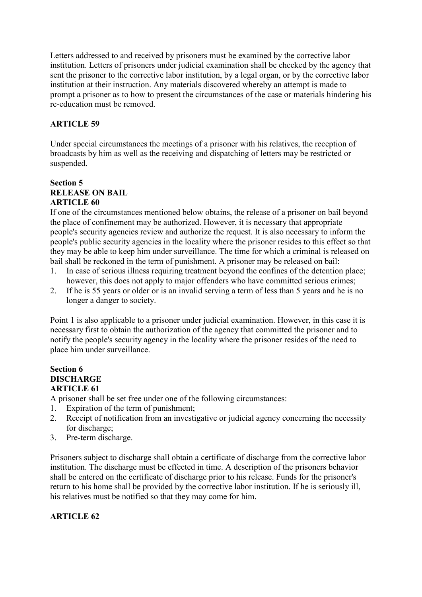Letters addressed to and received by prisoners must be examined by the corrective labor institution. Letters of prisoners under judicial examination shall be checked by the agency that sent the prisoner to the corrective labor institution, by a legal organ, or by the corrective labor institution at their instruction. Any materials discovered whereby an attempt is made to prompt a prisoner as to how to present the circumstances of the case or materials hindering his re-education must be removed.

# **ARTICLE 59**

Under special circumstances the meetings of a prisoner with his relatives, the reception of broadcasts by him as well as the receiving and dispatching of letters may be restricted or suspended.

# **Section 5 RELEASE ON BAIL ARTICLE 60**

If one of the circumstances mentioned below obtains, the release of a prisoner on bail beyond the place of confinement may be authorized. However, it is necessary that appropriate people's security agencies review and authorize the request. It is also necessary to inform the people's public security agencies in the locality where the prisoner resides to this effect so that they may be able to keep him under surveillance. The time for which a criminal is released on bail shall be reckoned in the term of punishment. A prisoner may be released on bail:

- 1. In case of serious illness requiring treatment beyond the confines of the detention place; however, this does not apply to major offenders who have committed serious crimes;
- 2. If he is 55 years or older or is an invalid serving a term of less than 5 years and he is no longer a danger to society.

Point 1 is also applicable to a prisoner under judicial examination. However, in this case it is necessary first to obtain the authorization of the agency that committed the prisoner and to notify the people's security agency in the locality where the prisoner resides of the need to place him under surveillance.

#### **Section 6 DISCHARGE ARTICLE 61**

A prisoner shall be set free under one of the following circumstances:

- 1. Expiration of the term of punishment;
- 2. Receipt of notification from an investigative or judicial agency concerning the necessity for discharge;
- 3. Pre-term discharge.

Prisoners subject to discharge shall obtain a certificate of discharge from the corrective labor institution. The discharge must be effected in time. A description of the prisoners behavior shall be entered on the certificate of discharge prior to his release. Funds for the prisoner's return to his home shall be provided by the corrective labor institution. If he is seriously ill, his relatives must be notified so that they may come for him.

# **ARTICLE 62**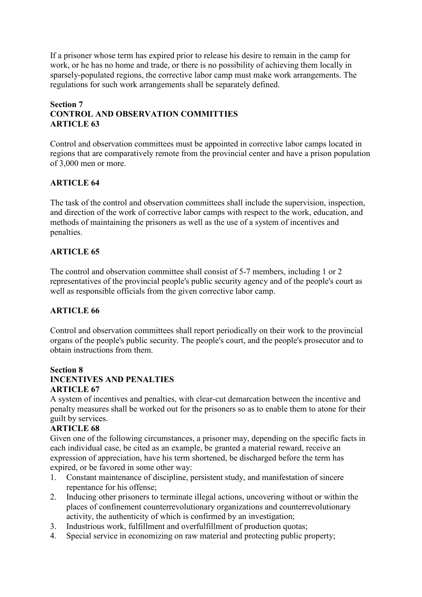If a prisoner whose term has expired prior to release his desire to remain in the camp for work, or he has no home and trade, or there is no possibility of achieving them locally in sparsely-populated regions, the corrective labor camp must make work arrangements. The regulations for such work arrangements shall be separately defined.

# **Section 7 CONTROL AND OBSERVATION COMMITTIES ARTICLE 63**

Control and observation committees must be appointed in corrective labor camps located in regions that are comparatively remote from the provincial center and have a prison population of 3,000 men or more.

# **ARTICLE 64**

The task of the control and observation committees shall include the supervision, inspection, and direction of the work of corrective labor camps with respect to the work, education, and methods of maintaining the prisoners as well as the use of a system of incentives and penalties.

# **ARTICLE 65**

The control and observation committee shall consist of 5-7 members, including 1 or 2 representatives of the provincial people's public security agency and of the people's court as well as responsible officials from the given corrective labor camp.

# **ARTICLE 66**

Control and observation committees shall report periodically on their work to the provincial organs of the people's public security. The people's court, and the people's prosecutor and to obtain instructions from them.

# **Section 8**

#### **INCENTIVES AND PENALTIES ARTICLE 67**

A system of incentives and penalties, with clear-cut demarcation between the incentive and penalty measures shall be worked out for the prisoners so as to enable them to atone for their guilt by services.

# **ARTICLE 68**

Given one of the following circumstances, a prisoner may, depending on the specific facts in each individual case, be cited as an example, be granted a material reward, receive an expression of appreciation, have his term shortened, be discharged before the term has expired, or be favored in some other way:

- 1. Constant maintenance of discipline, persistent study, and manifestation of sincere repentance for his offense;
- 2. Inducing other prisoners to terminate illegal actions, uncovering without or within the places of confinement counterrevolutionary organizations and counterrevolutionary activity, the authenticity of which is confirmed by an investigation;
- 3. Industrious work, fulfillment and overfulfillment of production quotas;
- 4. Special service in economizing on raw material and protecting public property;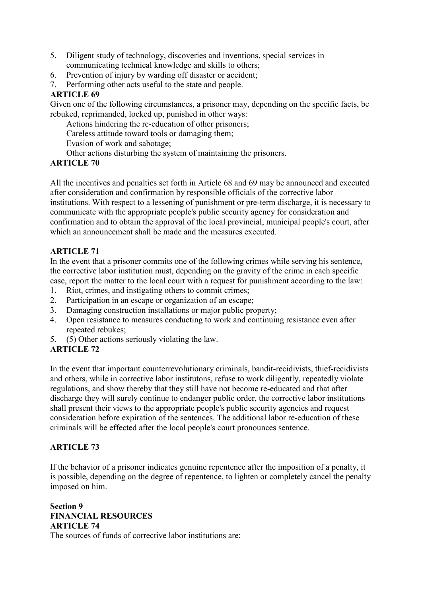- 5. Diligent study of technology, discoveries and inventions, special services in communicating technical knowledge and skills to others;
- 6. Prevention of injury by warding off disaster or accident;
- 7. Performing other acts useful to the state and people.

# **ARTICLE 69**

Given one of the following circumstances, a prisoner may, depending on the specific facts, be rebuked, reprimanded, locked up, punished in other ways:

Actions hindering the re-education of other prisoners;

Careless attitude toward tools or damaging them;

Evasion of work and sabotage;

Other actions disturbing the system of maintaining the prisoners.

# **ARTICLE 70**

All the incentives and penalties set forth in Article 68 and 69 may be announced and executed after consideration and confirmation by responsible officials of the corrective labor institutions. With respect to a lessening of punishment or pre-term discharge, it is necessary to communicate with the appropriate people's public security agency for consideration and confirmation and to obtain the approval of the local provincial, municipal people's court, after which an announcement shall be made and the measures executed.

# **ARTICLE 71**

In the event that a prisoner commits one of the following crimes while serving his sentence, the corrective labor institution must, depending on the gravity of the crime in each specific case, report the matter to the local court with a request for punishment according to the law:

- 1. Riot, crimes, and instigating others to commit crimes;
- 2. Participation in an escape or organization of an escape;
- 3. Damaging construction installations or major public property;
- 4. Open resistance to measures conducting to work and continuing resistance even after repeated rebukes;
- 5. (5) Other actions seriously violating the law.

# **ARTICLE 72**

In the event that important counterrevolutionary criminals, bandit-recidivists, thief-recidivists and others, while in corrective labor institutons, refuse to work diligently, repeatedly violate regulations, and show thereby that they still have not become re-educated and that after discharge they will surely continue to endanger public order, the corrective labor institutions shall present their views to the appropriate people's public security agencies and request consideration before expiration of the sentences. The additional labor re-education of these criminals will be effected after the local people's court pronounces sentence.

# **ARTICLE 73**

If the behavior of a prisoner indicates genuine repentence after the imposition of a penalty, it is possible, depending on the degree of repentence, to lighten or completely cancel the penalty imposed on him.

**Section 9 FINANCIAL RESOURCES ARTICLE 74**  The sources of funds of corrective labor institutions are: